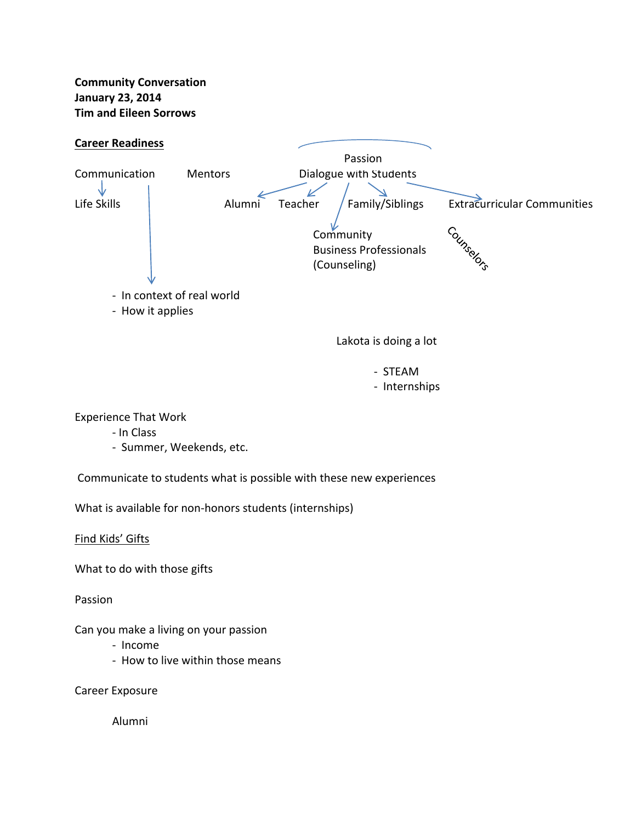**Community Conversation January 23, 2014 Tim and Eileen Sorrows**



- ‐ STEAM
- ‐ Internships

Experience That Work

- ‐ In Class
- ‐ Summer, Weekends, etc.

Communicate to students what is possible with these new experiences

What is available for non-honors students (internships)

Find Kids' Gifts

What to do with those gifts

Passion

Can you make a living on your passion

- ‐ Income
- ‐ How to live within those means

Career Exposure

Alumni